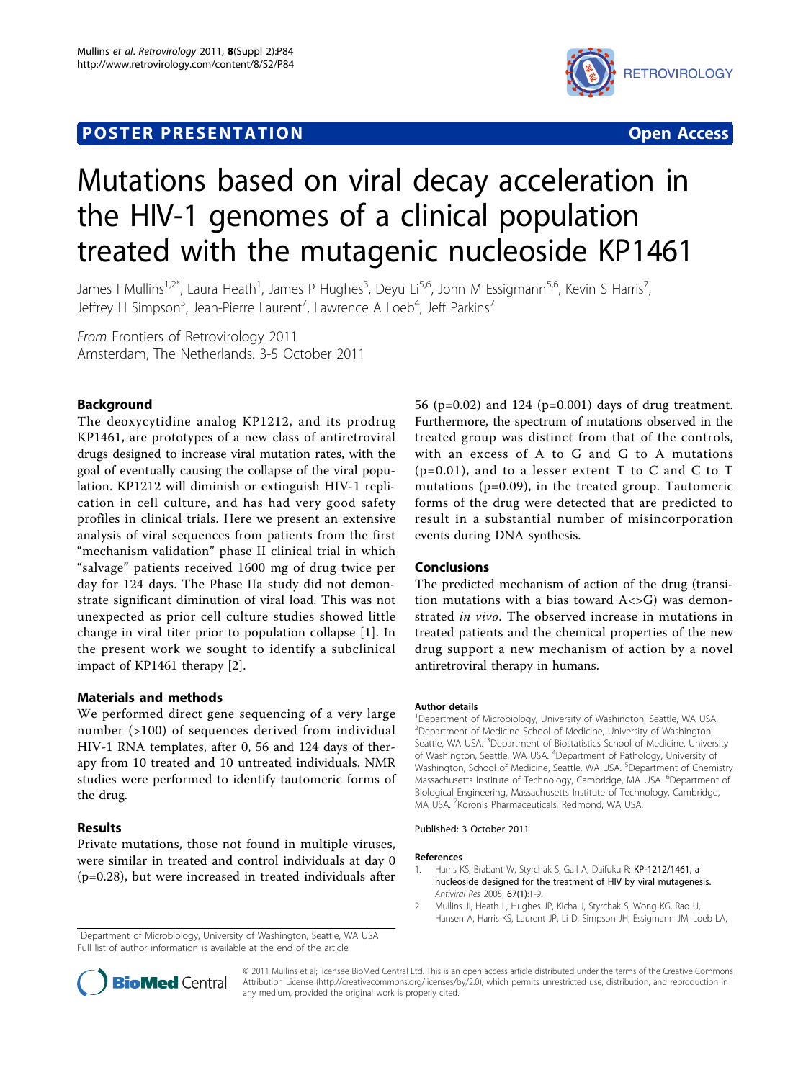# **POSTER PRESENTATION CONSUMING ACCESS**



# Mutations based on viral decay acceleration in the HIV-1 genomes of a clinical population treated with the mutagenic nucleoside KP1461

James I Mullins<sup>1,2\*</sup>, Laura Heath<sup>1</sup>, James P Hughes<sup>3</sup>, Deyu Li<sup>5,6</sup>, John M Essigmann<sup>5,6</sup>, Kevin S Harris<sup>7</sup> , Jeffrey H Simpson<sup>5</sup>, Jean-Pierre Laurent<sup>7</sup>, Lawrence A Loeb<sup>4</sup>, Jeff Parkins<sup>7</sup>

From Frontiers of Retrovirology 2011 Amsterdam, The Netherlands. 3-5 October 2011

# Background

The deoxycytidine analog KP1212, and its prodrug KP1461, are prototypes of a new class of antiretroviral drugs designed to increase viral mutation rates, with the goal of eventually causing the collapse of the viral population. KP1212 will diminish or extinguish HIV-1 replication in cell culture, and has had very good safety profiles in clinical trials. Here we present an extensive analysis of viral sequences from patients from the first "mechanism validation" phase II clinical trial in which "salvage" patients received 1600 mg of drug twice per day for 124 days. The Phase IIa study did not demonstrate significant diminution of viral load. This was not unexpected as prior cell culture studies showed little change in viral titer prior to population collapse [1]. In the present work we sought to identify a subclinical impact of KP1461 therapy [2].

# Materials and methods

We performed direct gene sequencing of a very large number (>100) of sequences derived from individual HIV-1 RNA templates, after 0, 56 and 124 days of therapy from 10 treated and 10 untreated individuals. NMR studies were performed to identify tautomeric forms of the drug.

# Results

Private mutations, those not found in multiple viruses, were similar in treated and control individuals at day 0 (p=0.28), but were increased in treated individuals after

<sup>1</sup>Department of Microbiology, University of Washington, Seattle, WA USA Full list of author information is available at the end of the article

56 (p=0.02) and 124 (p=0.001) days of drug treatment. Furthermore, the spectrum of mutations observed in the treated group was distinct from that of the controls, with an excess of A to G and G to A mutations  $(p=0.01)$ , and to a lesser extent T to C and C to T mutations (p=0.09), in the treated group. Tautomeric forms of the drug were detected that are predicted to result in a substantial number of misincorporation events during DNA synthesis.

#### Conclusions

The predicted mechanism of action of the drug (transition mutations with a bias toward  $A \ll 1$  was demonstrated in vivo. The observed increase in mutations in treated patients and the chemical properties of the new drug support a new mechanism of action by a novel antiretroviral therapy in humans.

#### Author details

<sup>1</sup>Department of Microbiology, University of Washington, Seattle, WA USA. <sup>2</sup>Department of Medicine School of Medicine, University of Washington, Seattle, WA USA. <sup>3</sup>Department of Biostatistics School of Medicine, University of Washington, Seattle, WA USA. <sup>4</sup>Department of Pathology, University of Washington, School of Medicine, Seattle, WA USA. <sup>5</sup>Department of Chemistry Massachusetts Institute of Technology, Cambridge, MA USA. <sup>6</sup>Department of Biological Engineering, Massachusetts Institute of Technology, Cambridge, MA USA. <sup>7</sup> Koronis Pharmaceuticals, Redmond, WA USA.

#### Published: 3 October 2011

#### References

- Harris KS, Brabant W, Styrchak S, Gall A, Daifuku R: [KP-1212/1461, a](http://www.ncbi.nlm.nih.gov/pubmed/15890415?dopt=Abstract) [nucleoside designed for the treatment of HIV by viral mutagenesis.](http://www.ncbi.nlm.nih.gov/pubmed/15890415?dopt=Abstract) Antiviral Res 2005, 67(1):1-9.
- 2. Mullins JI, Heath L, Hughes JP, Kicha J, Styrchak S, Wong KG, Rao U, Hansen A, Harris KS, Laurent JP, Li D, Simpson JH, Essigmann JM, Loeb LA,



© 2011 Mullins et al; licensee BioMed Central Ltd. This is an open access article distributed under the terms of the Creative Commons Attribution License [\(http://creativecommons.org/licenses/by/2.0](http://creativecommons.org/licenses/by/2.0)), which permits unrestricted use, distribution, and reproduction in any medium, provided the original work is properly cited.